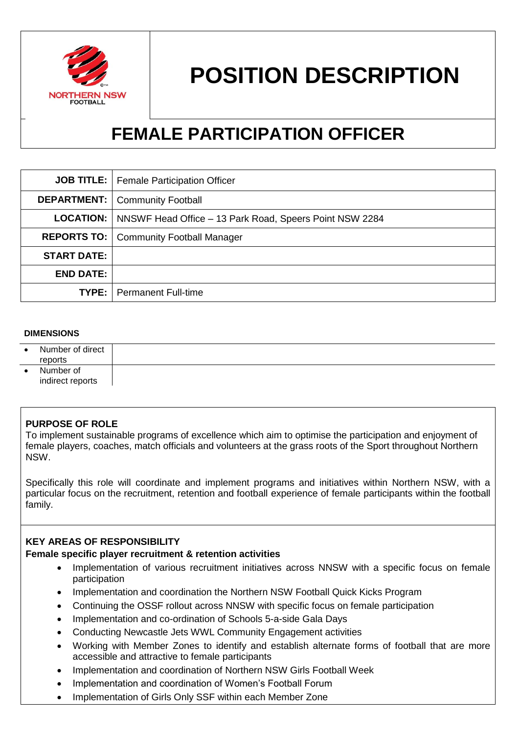

# **POSITION DESCRIPTION**

# **FEMALE PARTICIPATION OFFICER**

|                    | <b>JOB TITLE:</b>   Female Participation Officer                           |  |
|--------------------|----------------------------------------------------------------------------|--|
|                    | <b>DEPARTMENT:</b>   Community Football                                    |  |
|                    | <b>LOCATION:</b>   NNSWF Head Office – 13 Park Road, Speers Point NSW 2284 |  |
|                    | <b>REPORTS TO:   Community Football Manager</b>                            |  |
| <b>START DATE:</b> |                                                                            |  |
| <b>END DATE:</b>   |                                                                            |  |
|                    | <b>TYPE:</b>   Permanent Full-time                                         |  |

#### **DIMENSIONS**

| Number of direct<br>reports   |  |
|-------------------------------|--|
| Number of<br>indirect reports |  |

#### **PURPOSE OF ROLE**

To implement sustainable programs of excellence which aim to optimise the participation and enjoyment of female players, coaches, match officials and volunteers at the grass roots of the Sport throughout Northern NSW.

Specifically this role will coordinate and implement programs and initiatives within Northern NSW, with a particular focus on the recruitment, retention and football experience of female participants within the football family.

#### **KEY AREAS OF RESPONSIBILITY**

#### **Female specific player recruitment & retention activities**

- Implementation of various recruitment initiatives across NNSW with a specific focus on female participation
- Implementation and coordination the Northern NSW Football Quick Kicks Program
- Continuing the OSSF rollout across NNSW with specific focus on female participation
- Implementation and co-ordination of Schools 5-a-side Gala Days
- Conducting Newcastle Jets WWL Community Engagement activities
- Working with Member Zones to identify and establish alternate forms of football that are more accessible and attractive to female participants
- Implementation and coordination of Northern NSW Girls Football Week
- Implementation and coordination of Women's Football Forum
- Implementation of Girls Only SSF within each Member Zone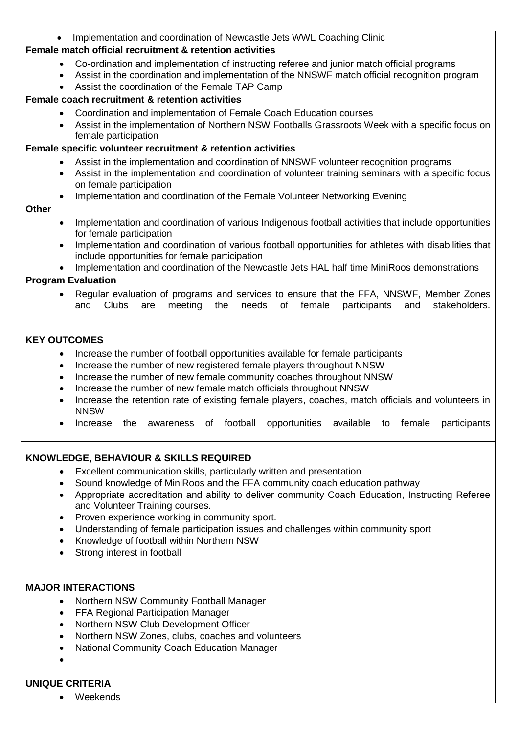# Implementation and coordination of Newcastle Jets WWL Coaching Clinic

#### **Female match official recruitment & retention activities**

- Co-ordination and implementation of instructing referee and junior match official programs
- Assist in the coordination and implementation of the NNSWF match official recognition program
- Assist the coordination of the Female TAP Camp

#### **Female coach recruitment & retention activities**

- Coordination and implementation of Female Coach Education courses
- Assist in the implementation of Northern NSW Footballs Grassroots Week with a specific focus on female participation

# **Female specific volunteer recruitment & retention activities**

- Assist in the implementation and coordination of NNSWF volunteer recognition programs
- Assist in the implementation and coordination of volunteer training seminars with a specific focus on female participation
- Implementation and coordination of the Female Volunteer Networking Evening

#### **Other**

- Implementation and coordination of various Indigenous football activities that include opportunities for female participation
- Implementation and coordination of various football opportunities for athletes with disabilities that include opportunities for female participation
- Implementation and coordination of the Newcastle Jets HAL half time MiniRoos demonstrations

# **Program Evaluation**

• Regular evaluation of programs and services to ensure that the FFA, NNSWF, Member Zones<br>and Clubs are meeting the needs of female participants and stakeholders. Clubs are meeting the needs of female participants and stakeholders.

# **KEY OUTCOMES**

- Increase the number of football opportunities available for female participants
- Increase the number of new registered female players throughout NNSW
- Increase the number of new female community coaches throughout NNSW
- Increase the number of new female match officials throughout NNSW
- Increase the retention rate of existing female players, coaches, match officials and volunteers in NNSW
- Increase the awareness of football opportunities available to female participants

# **KNOWLEDGE, BEHAVIOUR & SKILLS REQUIRED**

- Excellent communication skills, particularly written and presentation
- Sound knowledge of MiniRoos and the FFA community coach education pathway
- Appropriate accreditation and ability to deliver community Coach Education, Instructing Referee and Volunteer Training courses.
- Proven experience working in community sport.
- Understanding of female participation issues and challenges within community sport
- Knowledge of football within Northern NSW
- Strong interest in football

# **MAJOR INTERACTIONS**

- Northern NSW Community Football Manager
- FFA Regional Participation Manager
- Northern NSW Club Development Officer
- Northern NSW Zones, clubs, coaches and volunteers
- National Community Coach Education Manager
- $\bullet$

# **UNIQUE CRITERIA**

Weekends